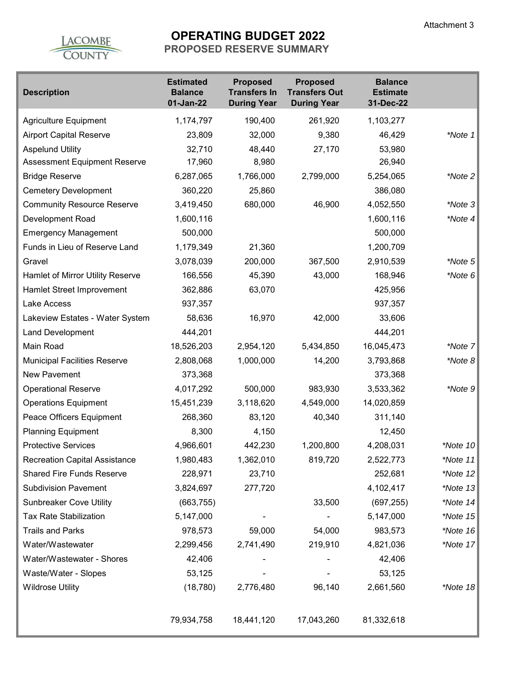

# **OPERATING BUDGET 2022**

**PROPOSED RESERVE SUMMARY** 

| <b>Description</b>                   | <b>Estimated</b><br><b>Balance</b><br>01-Jan-22 | <b>Proposed</b><br><b>Transfers In</b><br><b>During Year</b> | <b>Proposed</b><br><b>Transfers Out</b><br><b>During Year</b> | <b>Balance</b><br><b>Estimate</b><br>31-Dec-22 |             |
|--------------------------------------|-------------------------------------------------|--------------------------------------------------------------|---------------------------------------------------------------|------------------------------------------------|-------------|
| Agriculture Equipment                | 1,174,797                                       | 190,400                                                      | 261,920                                                       | 1,103,277                                      |             |
| <b>Airport Capital Reserve</b>       | 23,809                                          | 32,000                                                       | 9,380                                                         | 46,429                                         | *Note 1     |
| <b>Aspelund Utility</b>              | 32,710                                          | 48,440                                                       | 27,170                                                        | 53,980                                         |             |
| <b>Assessment Equipment Reserve</b>  | 17,960                                          | 8,980                                                        |                                                               | 26,940                                         |             |
| <b>Bridge Reserve</b>                | 6,287,065                                       | 1,766,000                                                    | 2,799,000                                                     | 5,254,065                                      | *Note 2     |
| <b>Cemetery Development</b>          | 360,220                                         | 25,860                                                       |                                                               | 386,080                                        |             |
| <b>Community Resource Reserve</b>    | 3,419,450                                       | 680,000                                                      | 46,900                                                        | 4,052,550                                      | *Note 3     |
| Development Road                     | 1,600,116                                       |                                                              |                                                               | 1,600,116                                      | *Note $4$   |
| <b>Emergency Management</b>          | 500,000                                         |                                                              |                                                               | 500,000                                        |             |
| Funds in Lieu of Reserve Land        | 1,179,349                                       | 21,360                                                       |                                                               | 1,200,709                                      |             |
| Gravel                               | 3,078,039                                       | 200,000                                                      | 367,500                                                       | 2,910,539                                      | *Note 5     |
| Hamlet of Mirror Utility Reserve     | 166,556                                         | 45,390                                                       | 43,000                                                        | 168,946                                        | *Note $6$   |
| Hamlet Street Improvement            | 362,886                                         | 63,070                                                       |                                                               | 425,956                                        |             |
| Lake Access                          | 937,357                                         |                                                              |                                                               | 937,357                                        |             |
| Lakeview Estates - Water System      | 58,636                                          | 16,970                                                       | 42,000                                                        | 33,606                                         |             |
| <b>Land Development</b>              | 444,201                                         |                                                              |                                                               | 444,201                                        |             |
| Main Road                            | 18,526,203                                      | 2,954,120                                                    | 5,434,850                                                     | 16,045,473                                     | *Note 7     |
| <b>Municipal Facilities Reserve</b>  | 2,808,068                                       | 1,000,000                                                    | 14,200                                                        | 3,793,868                                      | *Note $8$   |
| <b>New Pavement</b>                  | 373,368                                         |                                                              |                                                               | 373,368                                        |             |
| <b>Operational Reserve</b>           | 4,017,292                                       | 500,000                                                      | 983,930                                                       | 3,533,362                                      | *Note 9     |
| <b>Operations Equipment</b>          | 15,451,239                                      | 3,118,620                                                    | 4,549,000                                                     | 14,020,859                                     |             |
| Peace Officers Equipment             | 268,360                                         | 83,120                                                       | 40,340                                                        | 311,140                                        |             |
| <b>Planning Equipment</b>            | 8,300                                           | 4,150                                                        |                                                               | 12,450                                         |             |
| <b>Protective Services</b>           | 4,966,601                                       | 442,230                                                      | 1,200,800                                                     | 4,208,031                                      | *Note 10    |
| <b>Recreation Capital Assistance</b> | 1,980,483                                       | 1,362,010                                                    | 819,720                                                       | 2,522,773                                      | *Note 11    |
| <b>Shared Fire Funds Reserve</b>     | 228,971                                         | 23,710                                                       |                                                               | 252,681                                        | *Note $12$  |
| <b>Subdivision Pavement</b>          | 3,824,697                                       | 277,720                                                      |                                                               | 4,102,417                                      | $*$ Note 13 |
| <b>Sunbreaker Cove Utility</b>       | (663, 755)                                      |                                                              | 33,500                                                        | (697, 255)                                     | *Note $14$  |
| <b>Tax Rate Stabilization</b>        | 5,147,000                                       |                                                              |                                                               | 5,147,000                                      | *Note $15$  |
| <b>Trails and Parks</b>              | 978,573                                         | 59,000                                                       | 54,000                                                        | 983,573                                        | *Note $16$  |
| Water/Wastewater                     | 2,299,456                                       | 2,741,490                                                    | 219,910                                                       | 4,821,036                                      | *Note 17    |
| Water/Wastewater - Shores            | 42,406                                          |                                                              |                                                               | 42,406                                         |             |
| Waste/Water - Slopes                 | 53,125                                          |                                                              |                                                               | 53,125                                         |             |
| <b>Wildrose Utility</b>              | (18, 780)                                       | 2,776,480                                                    | 96,140                                                        | 2,661,560                                      | *Note 18    |
|                                      | 79,934,758                                      | 18,441,120                                                   | 17,043,260                                                    | 81,332,618                                     |             |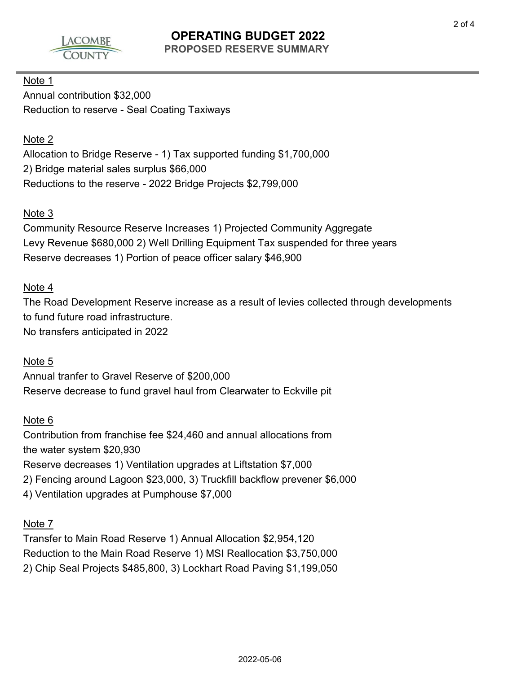

## **OPERATING BUDGET 2022 PROPOSED RESERVE SUMMARY**

## Note 1

Annual contribution \$32,000 Reduction to reserve - Seal Coating Taxiways

#### Note 2

Allocation to Bridge Reserve - 1) Tax supported funding \$1,700,000 2) Bridge material sales surplus \$66,000 Reductions to the reserve - 2022 Bridge Projects \$2,799,000

## Note 3

Community Resource Reserve Increases 1) Projected Community Aggregate Levy Revenue \$680,000 2) Well Drilling Equipment Tax suspended for three years Reserve decreases 1) Portion of peace officer salary \$46,900

#### Note 4

The Road Development Reserve increase as a result of levies collected through developments to fund future road infrastructure. No transfers anticipated in 2022

#### Note 5

Annual tranfer to Gravel Reserve of \$200,000 Reserve decrease to fund gravel haul from Clearwater to Eckville pit

#### Note 6

Contribution from franchise fee \$24,460 and annual allocations from the water system \$20,930 Reserve decreases 1) Ventilation upgrades at Liftstation \$7,000 2) Fencing around Lagoon \$23,000, 3) Truckfill backflow prevener \$6,000 4) Ventilation upgrades at Pumphouse \$7,000

#### Note 7

Transfer to Main Road Reserve 1) Annual Allocation \$2,954,120 Reduction to the Main Road Reserve 1) MSI Reallocation \$3,750,000 2) Chip Seal Projects \$485,800, 3) Lockhart Road Paving \$1,199,050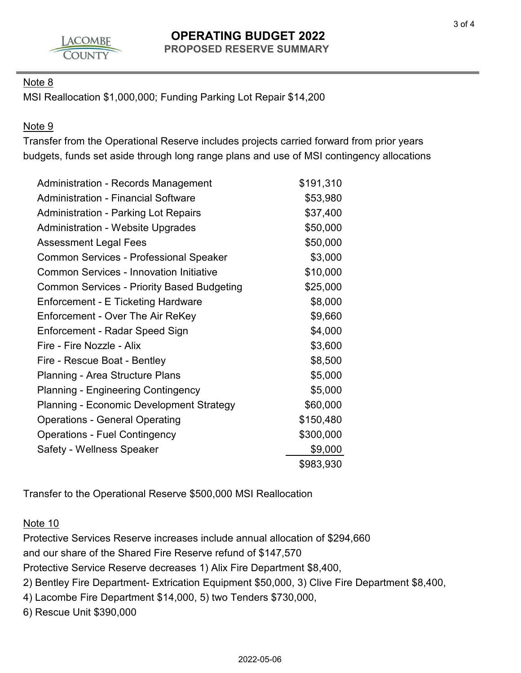

## **OPERATING BUDGET 2022 PROPOSED RESERVE SUMMARY**

## Note 8

MSI Reallocation \$1,000,000; Funding Parking Lot Repair \$14,200

## Note 9

Transfer from the Operational Reserve includes projects carried forward from prior years budgets, funds set aside through long range plans and use of MSI contingency allocations

| <b>Administration - Records Management</b>        | \$191,310 |
|---------------------------------------------------|-----------|
| <b>Administration - Financial Software</b>        | \$53,980  |
| <b>Administration - Parking Lot Repairs</b>       | \$37,400  |
| <b>Administration - Website Upgrades</b>          | \$50,000  |
| <b>Assessment Legal Fees</b>                      | \$50,000  |
| <b>Common Services - Professional Speaker</b>     | \$3,000   |
| <b>Common Services - Innovation Initiative</b>    | \$10,000  |
| <b>Common Services - Priority Based Budgeting</b> | \$25,000  |
| Enforcement - E Ticketing Hardware                | \$8,000   |
| Enforcement - Over The Air ReKey                  | \$9,660   |
| Enforcement - Radar Speed Sign                    | \$4,000   |
| Fire - Fire Nozzle - Alix                         | \$3,600   |
| Fire - Rescue Boat - Bentley                      | \$8,500   |
| Planning - Area Structure Plans                   | \$5,000   |
| <b>Planning - Engineering Contingency</b>         | \$5,000   |
| <b>Planning - Economic Development Strategy</b>   | \$60,000  |
| <b>Operations - General Operating</b>             | \$150,480 |
| <b>Operations - Fuel Contingency</b>              | \$300,000 |
| Safety - Wellness Speaker                         | \$9,000   |
|                                                   | \$983,930 |

Transfer to the Operational Reserve \$500,000 MSI Reallocation

#### Note 10

Protective Services Reserve increases include annual allocation of \$294,660 and our share of the Shared Fire Reserve refund of \$147,570

Protective Service Reserve decreases 1) Alix Fire Department \$8,400,

2) Bentley Fire Department- Extrication Equipment \$50,000, 3) Clive Fire Department \$8,400,

4) Lacombe Fire Department \$14,000, 5) two Tenders \$730,000,

6) Rescue Unit \$390,000